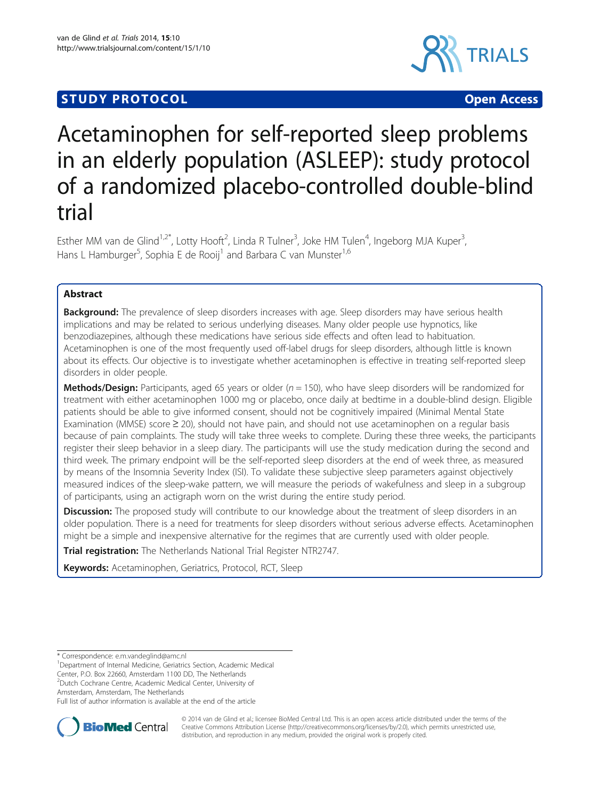## **STUDY PROTOCOL CONSUMING THE RESERVE ACCESS**



# Acetaminophen for self-reported sleep problems in an elderly population (ASLEEP): study protocol of a randomized placebo-controlled double-blind trial

Esther MM van de Glind<sup>1,2\*</sup>, Lotty Hooft<sup>2</sup>, Linda R Tulner<sup>3</sup>, Joke HM Tulen<sup>4</sup>, Ingeborg MJA Kuper<sup>3</sup> , Hans L Hamburger<sup>5</sup>, Sophia E de Rooij<sup>1</sup> and Barbara C van Munster<sup>1,6</sup>

### Abstract

Background: The prevalence of sleep disorders increases with age. Sleep disorders may have serious health implications and may be related to serious underlying diseases. Many older people use hypnotics, like benzodiazepines, although these medications have serious side effects and often lead to habituation. Acetaminophen is one of the most frequently used off-label drugs for sleep disorders, although little is known about its effects. Our objective is to investigate whether acetaminophen is effective in treating self-reported sleep disorders in older people.

**Methods/Design:** Participants, aged 65 years or older ( $n = 150$ ), who have sleep disorders will be randomized for treatment with either acetaminophen 1000 mg or placebo, once daily at bedtime in a double-blind design. Eligible patients should be able to give informed consent, should not be cognitively impaired (Minimal Mental State Examination (MMSE) score ≥ 20), should not have pain, and should not use acetaminophen on a regular basis because of pain complaints. The study will take three weeks to complete. During these three weeks, the participants register their sleep behavior in a sleep diary. The participants will use the study medication during the second and third week. The primary endpoint will be the self-reported sleep disorders at the end of week three, as measured by means of the Insomnia Severity Index (ISI). To validate these subjective sleep parameters against objectively measured indices of the sleep-wake pattern, we will measure the periods of wakefulness and sleep in a subgroup of participants, using an actigraph worn on the wrist during the entire study period.

**Discussion:** The proposed study will contribute to our knowledge about the treatment of sleep disorders in an older population. There is a need for treatments for sleep disorders without serious adverse effects. Acetaminophen might be a simple and inexpensive alternative for the regimes that are currently used with older people.

Trial registration: The Netherlands National Trial Register [NTR2747.](http://www.trialregister.nl/trialreg/admin/rctview.asp?TC=2747)

Keywords: Acetaminophen, Geriatrics, Protocol, RCT, Sleep

<sup>1</sup>Department of Internal Medicine, Geriatrics Section, Academic Medical Center, P.O. Box 22660, Amsterdam 1100 DD, The Netherlands

<sup>2</sup>Dutch Cochrane Centre, Academic Medical Center, University of

Amsterdam, Amsterdam, The Netherlands

Full list of author information is available at the end of the article



© 2014 van de Glind et al.; licensee BioMed Central Ltd. This is an open access article distributed under the terms of the Creative Commons Attribution License (<http://creativecommons.org/licenses/by/2.0>), which permits unrestricted use, distribution, and reproduction in any medium, provided the original work is properly cited.

<sup>\*</sup> Correspondence: [e.m.vandeglind@amc.nl](mailto:e.m.vandeglind@amc.nl) <sup>1</sup>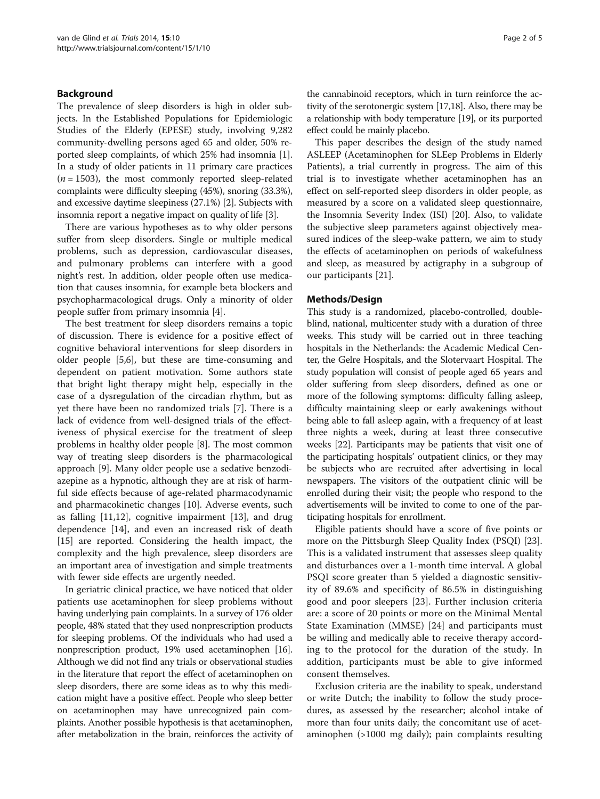#### Background

The prevalence of sleep disorders is high in older subjects. In the Established Populations for Epidemiologic Studies of the Elderly (EPESE) study, involving 9,282 community-dwelling persons aged 65 and older, 50% reported sleep complaints, of which 25% had insomnia [\[1](#page-3-0)]. In a study of older patients in 11 primary care practices  $(n = 1503)$ , the most commonly reported sleep-related complaints were difficulty sleeping (45%), snoring (33.3%), and excessive daytime sleepiness (27.1%) [[2](#page-3-0)]. Subjects with insomnia report a negative impact on quality of life [[3](#page-3-0)].

There are various hypotheses as to why older persons suffer from sleep disorders. Single or multiple medical problems, such as depression, cardiovascular diseases, and pulmonary problems can interfere with a good night's rest. In addition, older people often use medication that causes insomnia, for example beta blockers and psychopharmacological drugs. Only a minority of older people suffer from primary insomnia [[4\]](#page-3-0).

The best treatment for sleep disorders remains a topic of discussion. There is evidence for a positive effect of cognitive behavioral interventions for sleep disorders in older people [\[5,6](#page-3-0)], but these are time-consuming and dependent on patient motivation. Some authors state that bright light therapy might help, especially in the case of a dysregulation of the circadian rhythm, but as yet there have been no randomized trials [[7\]](#page-3-0). There is a lack of evidence from well-designed trials of the effectiveness of physical exercise for the treatment of sleep problems in healthy older people [\[8](#page-3-0)]. The most common way of treating sleep disorders is the pharmacological approach [[9\]](#page-3-0). Many older people use a sedative benzodiazepine as a hypnotic, although they are at risk of harmful side effects because of age-related pharmacodynamic and pharmacokinetic changes [\[10](#page-4-0)]. Adverse events, such as falling [[11,12\]](#page-4-0), cognitive impairment [[13\]](#page-4-0), and drug dependence [\[14](#page-4-0)], and even an increased risk of death [[15\]](#page-4-0) are reported. Considering the health impact, the complexity and the high prevalence, sleep disorders are an important area of investigation and simple treatments with fewer side effects are urgently needed.

In geriatric clinical practice, we have noticed that older patients use acetaminophen for sleep problems without having underlying pain complaints. In a survey of 176 older people, 48% stated that they used nonprescription products for sleeping problems. Of the individuals who had used a nonprescription product, 19% used acetaminophen [\[16](#page-4-0)]. Although we did not find any trials or observational studies in the literature that report the effect of acetaminophen on sleep disorders, there are some ideas as to why this medication might have a positive effect. People who sleep better on acetaminophen may have unrecognized pain complaints. Another possible hypothesis is that acetaminophen, after metabolization in the brain, reinforces the activity of

the cannabinoid receptors, which in turn reinforce the activity of the serotonergic system [\[17](#page-4-0),[18](#page-4-0)]. Also, there may be a relationship with body temperature [[19](#page-4-0)], or its purported effect could be mainly placebo.

This paper describes the design of the study named ASLEEP (Acetaminophen for SLEep Problems in Elderly Patients), a trial currently in progress. The aim of this trial is to investigate whether acetaminophen has an effect on self-reported sleep disorders in older people, as measured by a score on a validated sleep questionnaire, the Insomnia Severity Index (ISI) [[20](#page-4-0)]. Also, to validate the subjective sleep parameters against objectively measured indices of the sleep-wake pattern, we aim to study the effects of acetaminophen on periods of wakefulness and sleep, as measured by actigraphy in a subgroup of our participants [[21\]](#page-4-0).

#### Methods/Design

This study is a randomized, placebo-controlled, doubleblind, national, multicenter study with a duration of three weeks. This study will be carried out in three teaching hospitals in the Netherlands: the Academic Medical Center, the Gelre Hospitals, and the Slotervaart Hospital. The study population will consist of people aged 65 years and older suffering from sleep disorders, defined as one or more of the following symptoms: difficulty falling asleep, difficulty maintaining sleep or early awakenings without being able to fall asleep again, with a frequency of at least three nights a week, during at least three consecutive weeks [\[22](#page-4-0)]. Participants may be patients that visit one of the participating hospitals' outpatient clinics, or they may be subjects who are recruited after advertising in local newspapers. The visitors of the outpatient clinic will be enrolled during their visit; the people who respond to the advertisements will be invited to come to one of the participating hospitals for enrollment.

Eligible patients should have a score of five points or more on the Pittsburgh Sleep Quality Index (PSQI) [\[23](#page-4-0)]. This is a validated instrument that assesses sleep quality and disturbances over a 1-month time interval. A global PSQI score greater than 5 yielded a diagnostic sensitivity of 89.6% and specificity of 86.5% in distinguishing good and poor sleepers [\[23](#page-4-0)]. Further inclusion criteria are: a score of 20 points or more on the Minimal Mental State Examination (MMSE) [\[24](#page-4-0)] and participants must be willing and medically able to receive therapy according to the protocol for the duration of the study. In addition, participants must be able to give informed consent themselves.

Exclusion criteria are the inability to speak, understand or write Dutch; the inability to follow the study procedures, as assessed by the researcher; alcohol intake of more than four units daily; the concomitant use of acetaminophen (>1000 mg daily); pain complaints resulting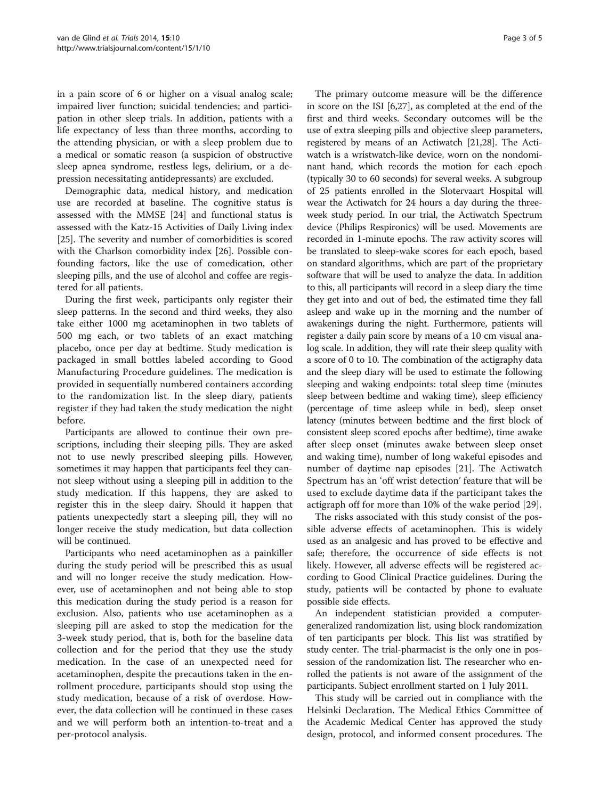in a pain score of 6 or higher on a visual analog scale; impaired liver function; suicidal tendencies; and participation in other sleep trials. In addition, patients with a life expectancy of less than three months, according to the attending physician, or with a sleep problem due to a medical or somatic reason (a suspicion of obstructive sleep apnea syndrome, restless legs, delirium, or a depression necessitating antidepressants) are excluded.

Demographic data, medical history, and medication use are recorded at baseline. The cognitive status is assessed with the MMSE [\[24\]](#page-4-0) and functional status is assessed with the Katz-15 Activities of Daily Living index [[25\]](#page-4-0). The severity and number of comorbidities is scored with the Charlson comorbidity index [[26\]](#page-4-0). Possible confounding factors, like the use of comedication, other sleeping pills, and the use of alcohol and coffee are registered for all patients.

During the first week, participants only register their sleep patterns. In the second and third weeks, they also take either 1000 mg acetaminophen in two tablets of 500 mg each, or two tablets of an exact matching placebo, once per day at bedtime. Study medication is packaged in small bottles labeled according to Good Manufacturing Procedure guidelines. The medication is provided in sequentially numbered containers according to the randomization list. In the sleep diary, patients register if they had taken the study medication the night before.

Participants are allowed to continue their own prescriptions, including their sleeping pills. They are asked not to use newly prescribed sleeping pills. However, sometimes it may happen that participants feel they cannot sleep without using a sleeping pill in addition to the study medication. If this happens, they are asked to register this in the sleep dairy. Should it happen that patients unexpectedly start a sleeping pill, they will no longer receive the study medication, but data collection will be continued.

Participants who need acetaminophen as a painkiller during the study period will be prescribed this as usual and will no longer receive the study medication. However, use of acetaminophen and not being able to stop this medication during the study period is a reason for exclusion. Also, patients who use acetaminophen as a sleeping pill are asked to stop the medication for the 3-week study period, that is, both for the baseline data collection and for the period that they use the study medication. In the case of an unexpected need for acetaminophen, despite the precautions taken in the enrollment procedure, participants should stop using the study medication, because of a risk of overdose. However, the data collection will be continued in these cases and we will perform both an intention-to-treat and a per-protocol analysis.

The primary outcome measure will be the difference in score on the ISI [[6](#page-3-0),[27](#page-4-0)], as completed at the end of the first and third weeks. Secondary outcomes will be the use of extra sleeping pills and objective sleep parameters, registered by means of an Actiwatch [\[21,28](#page-4-0)]. The Actiwatch is a wristwatch-like device, worn on the nondominant hand, which records the motion for each epoch (typically 30 to 60 seconds) for several weeks. A subgroup of 25 patients enrolled in the Slotervaart Hospital will wear the Actiwatch for 24 hours a day during the threeweek study period. In our trial, the Actiwatch Spectrum device (Philips Respironics) will be used. Movements are recorded in 1-minute epochs. The raw activity scores will be translated to sleep-wake scores for each epoch, based on standard algorithms, which are part of the proprietary software that will be used to analyze the data. In addition to this, all participants will record in a sleep diary the time they get into and out of bed, the estimated time they fall asleep and wake up in the morning and the number of awakenings during the night. Furthermore, patients will register a daily pain score by means of a 10 cm visual analog scale. In addition, they will rate their sleep quality with a score of 0 to 10. The combination of the actigraphy data and the sleep diary will be used to estimate the following sleeping and waking endpoints: total sleep time (minutes sleep between bedtime and waking time), sleep efficiency (percentage of time asleep while in bed), sleep onset latency (minutes between bedtime and the first block of consistent sleep scored epochs after bedtime), time awake after sleep onset (minutes awake between sleep onset and waking time), number of long wakeful episodes and number of daytime nap episodes [[21\]](#page-4-0). The Actiwatch Spectrum has an 'off wrist detection' feature that will be used to exclude daytime data if the participant takes the actigraph off for more than 10% of the wake period [\[29](#page-4-0)].

The risks associated with this study consist of the possible adverse effects of acetaminophen. This is widely used as an analgesic and has proved to be effective and safe; therefore, the occurrence of side effects is not likely. However, all adverse effects will be registered according to Good Clinical Practice guidelines. During the study, patients will be contacted by phone to evaluate possible side effects.

An independent statistician provided a computergeneralized randomization list, using block randomization of ten participants per block. This list was stratified by study center. The trial-pharmacist is the only one in possession of the randomization list. The researcher who enrolled the patients is not aware of the assignment of the participants. Subject enrollment started on 1 July 2011.

This study will be carried out in compliance with the Helsinki Declaration. The Medical Ethics Committee of the Academic Medical Center has approved the study design, protocol, and informed consent procedures. The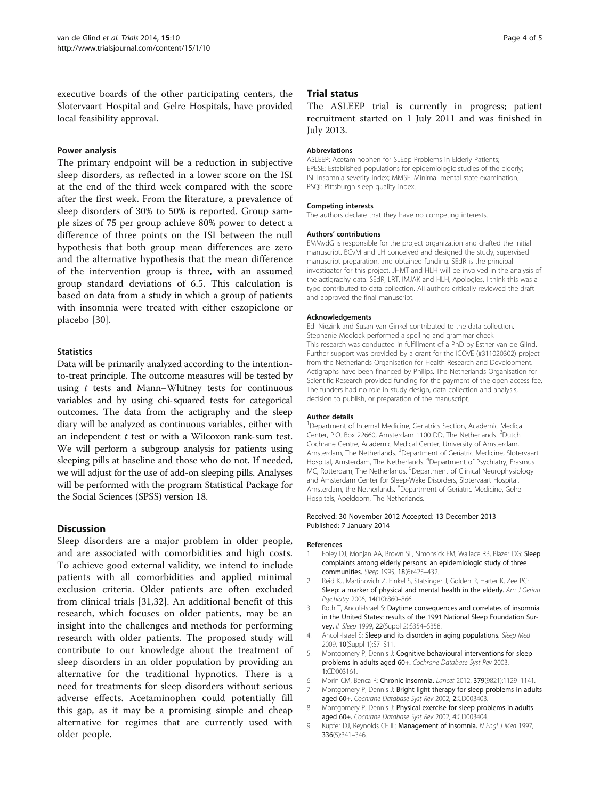<span id="page-3-0"></span>executive boards of the other participating centers, the Slotervaart Hospital and Gelre Hospitals, have provided local feasibility approval.

#### Power analysis

The primary endpoint will be a reduction in subjective sleep disorders, as reflected in a lower score on the ISI at the end of the third week compared with the score after the first week. From the literature, a prevalence of sleep disorders of 30% to 50% is reported. Group sample sizes of 75 per group achieve 80% power to detect a difference of three points on the ISI between the null hypothesis that both group mean differences are zero and the alternative hypothesis that the mean difference of the intervention group is three, with an assumed group standard deviations of 6.5. This calculation is based on data from a study in which a group of patients with insomnia were treated with either eszopiclone or placebo [[30\]](#page-4-0).

#### **Statistics**

Data will be primarily analyzed according to the intentionto-treat principle. The outcome measures will be tested by using  $t$  tests and Mann–Whitney tests for continuous variables and by using chi-squared tests for categorical outcomes. The data from the actigraphy and the sleep diary will be analyzed as continuous variables, either with an independent  $t$  test or with a Wilcoxon rank-sum test. We will perform a subgroup analysis for patients using sleeping pills at baseline and those who do not. If needed, we will adjust for the use of add-on sleeping pills. Analyses will be performed with the program Statistical Package for the Social Sciences (SPSS) version 18.

#### Discussion

Sleep disorders are a major problem in older people, and are associated with comorbidities and high costs. To achieve good external validity, we intend to include patients with all comorbidities and applied minimal exclusion criteria. Older patients are often excluded from clinical trials [\[31](#page-4-0),[32\]](#page-4-0). An additional benefit of this research, which focuses on older patients, may be an insight into the challenges and methods for performing research with older patients. The proposed study will contribute to our knowledge about the treatment of sleep disorders in an older population by providing an alternative for the traditional hypnotics. There is a need for treatments for sleep disorders without serious adverse effects. Acetaminophen could potentially fill this gap, as it may be a promising simple and cheap alternative for regimes that are currently used with older people.

#### Trial status

The ASLEEP trial is currently in progress; patient recruitment started on 1 July 2011 and was finished in July 2013.

#### Abbreviations

ASLEEP: Acetaminophen for SLEep Problems in Elderly Patients; EPESE: Established populations for epidemiologic studies of the elderly; ISI: Insomnia severity index; MMSE: Minimal mental state examination; PSQI: Pittsburgh sleep quality index.

#### Competing interests

The authors declare that they have no competing interests.

#### Authors' contributions

EMMvdG is responsible for the project organization and drafted the initial manuscript. BCvM and LH conceived and designed the study, supervised manuscript preparation, and obtained funding. SEdR is the principal investigator for this project. JHMT and HLH will be involved in the analysis of the actigraphy data. SEdR, LRT, IMJAK and HLH, Apologies, I think this was a typo contributed to data collection. All authors critically reviewed the draft and approved the final manuscript.

#### Acknowledgements

Edi Niezink and Susan van Ginkel contributed to the data collection. Stephanie Medlock performed a spelling and grammar check. This research was conducted in fulfillment of a PhD by Esther van de Glind. Further support was provided by a grant for the ICOVE (#311020302) project from the Netherlands Organisation for Health Research and Development. Actigraphs have been financed by Philips. The Netherlands Organisation for Scientific Research provided funding for the payment of the open access fee. The funders had no role in study design, data collection and analysis, decision to publish, or preparation of the manuscript.

#### Author details

<sup>1</sup>Department of Internal Medicine, Geriatrics Section, Academic Medical Center, P.O. Box 22660, Amsterdam 1100 DD, The Netherlands. <sup>2</sup>Dutch Cochrane Centre, Academic Medical Center, University of Amsterdam, Amsterdam, The Netherlands. <sup>3</sup>Department of Geriatric Medicine, Slotervaart Hospital, Amsterdam, The Netherlands. <sup>4</sup>Department of Psychiatry, Erasmus MC, Rotterdam, The Netherlands. <sup>5</sup>Department of Clinical Neurophysiology and Amsterdam Center for Sleep-Wake Disorders, Slotervaart Hospital, Amsterdam, the Netherlands. <sup>6</sup>Department of Geriatric Medicine, Gelre Hospitals, Apeldoorn, The Netherlands.

#### Received: 30 November 2012 Accepted: 13 December 2013 Published: 7 January 2014

#### References

- 1. Foley DJ, Monjan AA, Brown SL, Simonsick EM, Wallace RB, Blazer DG: Sleep complaints among elderly persons: an epidemiologic study of three communities. Sleep 1995, 18(6):425–432.
- 2. Reid KJ, Martinovich Z, Finkel S, Statsinger J, Golden R, Harter K, Zee PC: Sleep: a marker of physical and mental health in the elderly. Am J Geriatr Psychiatry 2006, 14(10):860–866.
- 3. Roth T, Ancoli-Israel S: Daytime consequences and correlates of insomnia in the United States: results of the 1991 National Sleep Foundation Survey. *II. Sleep* 1999, 22(Suppl 2):S354-S358.
- 4. Ancoli-Israel S: Sleep and its disorders in aging populations. Sleep Med 2009, 10(Suppl 1):S7–S11.
- 5. Montgomery P, Dennis J: Cognitive behavioural interventions for sleep problems in adults aged 60+. Cochrane Database Syst Rev 2003, 1:CD003161.
- 6. Morin CM, Benca R: Chronic insomnia. Lancet 2012, 379(9821):1129–1141.
- 7. Montgomery P, Dennis J: Bright light therapy for sleep problems in adults aged 60+. Cochrane Database Syst Rev 2002, 2:CD003403.
- 8. Montgomery P, Dennis J: Physical exercise for sleep problems in adults aged 60+. Cochrane Database Syst Rev 2002, 4:CD003404.
- 9. Kupfer DJ, Reynolds CF III: Management of insomnia. N Engl J Med 1997, 336(5):341–346.